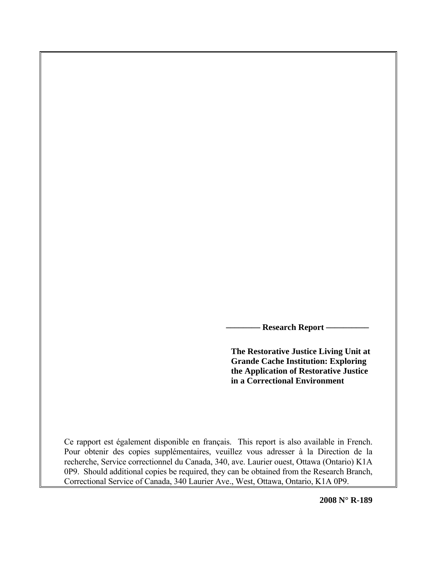**Research Report —** 

**The Restorative Justice Living Unit at Grande Cache Institution: Exploring the Application of Restorative Justice in a Correctional Environment** 

Ce rapport est également disponible en français. This report is also available in French. Pour obtenir des copies supplémentaires, veuillez vous adresser à la Direction de la recherche, Service correctionnel du Canada, 340, ave. Laurier ouest, Ottawa (Ontario) K1A 0P9. Should additional copies be required, they can be obtained from the Research Branch, Correctional Service of Canada, 340 Laurier Ave., West, Ottawa, Ontario, K1A 0P9.

**2008 N° R-189**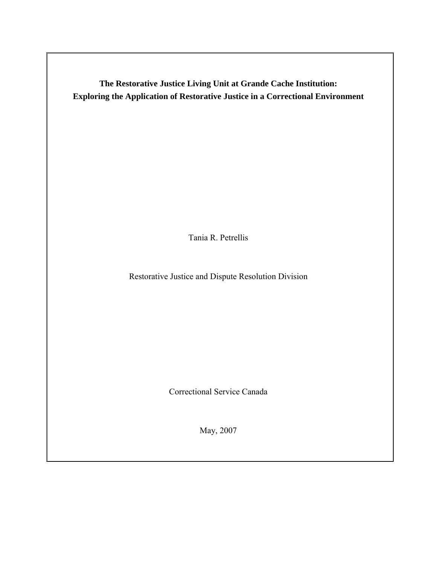**The Restorative Justice Living Unit at Grande Cache Institution: Exploring the Application of Restorative Justice in a Correctional Environment** 

Tania R. Petrellis

Restorative Justice and Dispute Resolution Division

Correctional Service Canada

May, 2007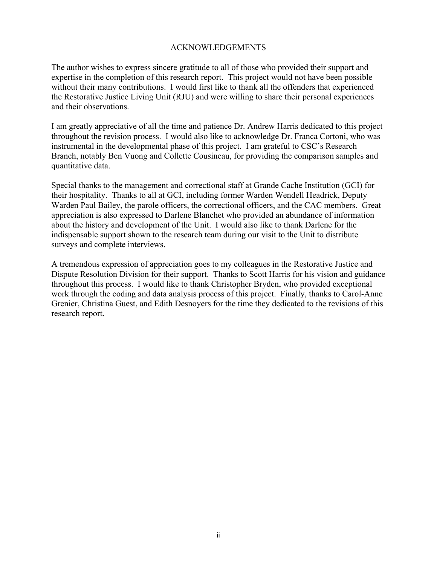# ACKNOWLEDGEMENTS

The author wishes to express sincere gratitude to all of those who provided their support and expertise in the completion of this research report. This project would not have been possible without their many contributions. I would first like to thank all the offenders that experienced the Restorative Justice Living Unit (RJU) and were willing to share their personal experiences and their observations.

I am greatly appreciative of all the time and patience Dr. Andrew Harris dedicated to this project throughout the revision process. I would also like to acknowledge Dr. Franca Cortoni, who was instrumental in the developmental phase of this project. I am grateful to CSC's Research Branch, notably Ben Vuong and Collette Cousineau, for providing the comparison samples and quantitative data.

Special thanks to the management and correctional staff at Grande Cache Institution (GCI) for their hospitality. Thanks to all at GCI, including former Warden Wendell Headrick, Deputy Warden Paul Bailey, the parole officers, the correctional officers, and the CAC members. Great appreciation is also expressed to Darlene Blanchet who provided an abundance of information about the history and development of the Unit. I would also like to thank Darlene for the indispensable support shown to the research team during our visit to the Unit to distribute surveys and complete interviews.

A tremendous expression of appreciation goes to my colleagues in the Restorative Justice and Dispute Resolution Division for their support. Thanks to Scott Harris for his vision and guidance throughout this process. I would like to thank Christopher Bryden, who provided exceptional work through the coding and data analysis process of this project. Finally, thanks to Carol-Anne Grenier, Christina Guest, and Edith Desnoyers for the time they dedicated to the revisions of this research report.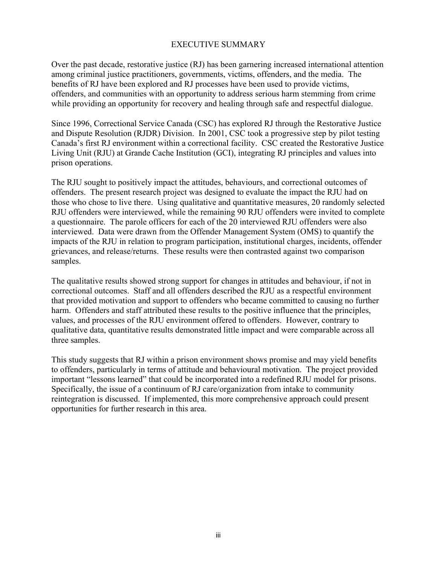# EXECUTIVE SUMMARY

Over the past decade, restorative justice (RJ) has been garnering increased international attention among criminal justice practitioners, governments, victims, offenders, and the media. The benefits of RJ have been explored and RJ processes have been used to provide victims, offenders, and communities with an opportunity to address serious harm stemming from crime while providing an opportunity for recovery and healing through safe and respectful dialogue.

Since 1996, Correctional Service Canada (CSC) has explored RJ through the Restorative Justice and Dispute Resolution (RJDR) Division. In 2001, CSC took a progressive step by pilot testing Canada's first RJ environment within a correctional facility. CSC created the Restorative Justice Living Unit (RJU) at Grande Cache Institution (GCI), integrating RJ principles and values into prison operations.

The RJU sought to positively impact the attitudes, behaviours, and correctional outcomes of offenders. The present research project was designed to evaluate the impact the RJU had on those who chose to live there. Using qualitative and quantitative measures, 20 randomly selected RJU offenders were interviewed, while the remaining 90 RJU offenders were invited to complete a questionnaire. The parole officers for each of the 20 interviewed RJU offenders were also interviewed. Data were drawn from the Offender Management System (OMS) to quantify the impacts of the RJU in relation to program participation, institutional charges, incidents, offender grievances, and release/returns. These results were then contrasted against two comparison samples.

The qualitative results showed strong support for changes in attitudes and behaviour, if not in correctional outcomes. Staff and all offenders described the RJU as a respectful environment that provided motivation and support to offenders who became committed to causing no further harm. Offenders and staff attributed these results to the positive influence that the principles, values, and processes of the RJU environment offered to offenders. However, contrary to qualitative data, quantitative results demonstrated little impact and were comparable across all three samples.

This study suggests that RJ within a prison environment shows promise and may yield benefits to offenders, particularly in terms of attitude and behavioural motivation. The project provided important "lessons learned" that could be incorporated into a redefined RJU model for prisons. Specifically, the issue of a continuum of RJ care/organization from intake to community reintegration is discussed. If implemented, this more comprehensive approach could present opportunities for further research in this area.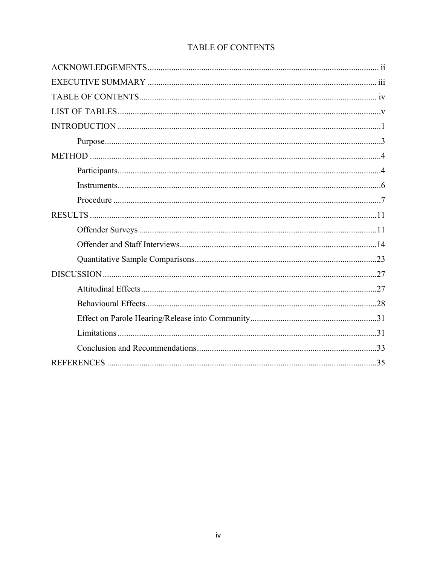|  | <b>TABLE OF CONTENTS</b> |
|--|--------------------------|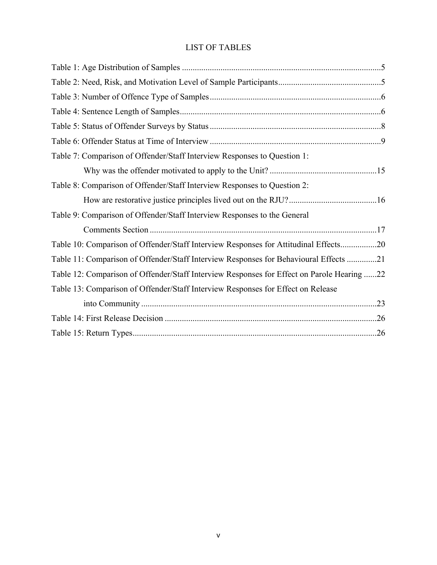# LIST OF TABLES

| Table 7: Comparison of Offender/Staff Interview Responses to Question 1:                   |  |
|--------------------------------------------------------------------------------------------|--|
|                                                                                            |  |
| Table 8: Comparison of Offender/Staff Interview Responses to Question 2:                   |  |
|                                                                                            |  |
| Table 9: Comparison of Offender/Staff Interview Responses to the General                   |  |
|                                                                                            |  |
| Table 10: Comparison of Offender/Staff Interview Responses for Attitudinal Effects20       |  |
| Table 11: Comparison of Offender/Staff Interview Responses for Behavioural Effects 21      |  |
| Table 12: Comparison of Offender/Staff Interview Responses for Effect on Parole Hearing 22 |  |
| Table 13: Comparison of Offender/Staff Interview Responses for Effect on Release           |  |
|                                                                                            |  |
|                                                                                            |  |
|                                                                                            |  |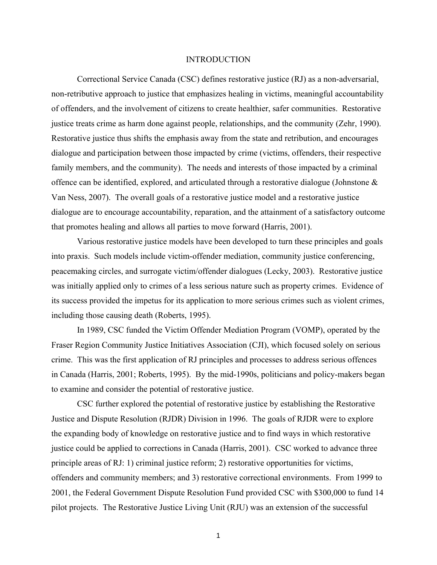#### **INTRODUCTION**

Correctional Service Canada (CSC) defines restorative justice (RJ) as a non-adversarial, non-retributive approach to justice that emphasizes healing in victims, meaningful accountability of offenders, and the involvement of citizens to create healthier, safer communities. Restorative justice treats crime as harm done against people, relationships, and the community (Zehr, 1990). Restorative justice thus shifts the emphasis away from the state and retribution, and encourages dialogue and participation between those impacted by crime (victims, offenders, their respective family members, and the community). The needs and interests of those impacted by a criminal offence can be identified, explored, and articulated through a restorative dialogue (Johnstone  $\&$ Van Ness, 2007). The overall goals of a restorative justice model and a restorative justice dialogue are to encourage accountability, reparation, and the attainment of a satisfactory outcome that promotes healing and allows all parties to move forward (Harris, 2001).

Various restorative justice models have been developed to turn these principles and goals into praxis. Such models include victim-offender mediation, community justice conferencing, peacemaking circles, and surrogate victim/offender dialogues (Lecky, 2003). Restorative justice was initially applied only to crimes of a less serious nature such as property crimes. Evidence of its success provided the impetus for its application to more serious crimes such as violent crimes, including those causing death (Roberts, 1995).

In 1989, CSC funded the Victim Offender Mediation Program (VOMP), operated by the Fraser Region Community Justice Initiatives Association (CJI), which focused solely on serious crime. This was the first application of RJ principles and processes to address serious offences in Canada (Harris, 2001; Roberts, 1995). By the mid-1990s, politicians and policy-makers began to examine and consider the potential of restorative justice.

CSC further explored the potential of restorative justice by establishing the Restorative Justice and Dispute Resolution (RJDR) Division in 1996. The goals of RJDR were to explore the expanding body of knowledge on restorative justice and to find ways in which restorative justice could be applied to corrections in Canada (Harris, 2001). CSC worked to advance three principle areas of RJ: 1) criminal justice reform; 2) restorative opportunities for victims, offenders and community members; and 3) restorative correctional environments. From 1999 to 2001, the Federal Government Dispute Resolution Fund provided CSC with \$300,000 to fund 14 pilot projects. The Restorative Justice Living Unit (RJU) was an extension of the successful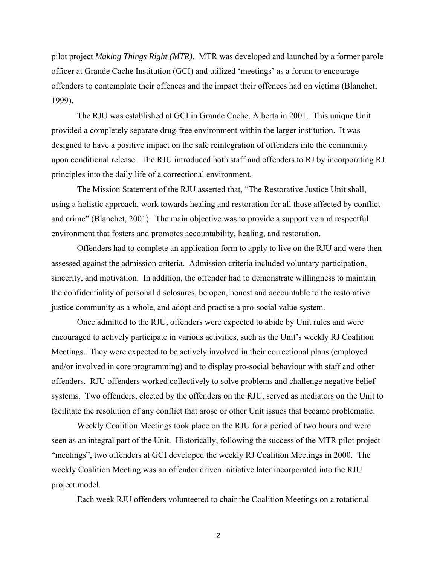pilot project *Making Things Right (MTR)*. MTR was developed and launched by a former parole officer at Grande Cache Institution (GCI) and utilized 'meetings' as a forum to encourage offenders to contemplate their offences and the impact their offences had on victims (Blanchet, 1999).

The RJU was established at GCI in Grande Cache, Alberta in 2001. This unique Unit provided a completely separate drug-free environment within the larger institution. It was designed to have a positive impact on the safe reintegration of offenders into the community upon conditional release. The RJU introduced both staff and offenders to RJ by incorporating RJ principles into the daily life of a correctional environment.

The Mission Statement of the RJU asserted that, "The Restorative Justice Unit shall, using a holistic approach, work towards healing and restoration for all those affected by conflict and crime" (Blanchet, 2001). The main objective was to provide a supportive and respectful environment that fosters and promotes accountability, healing, and restoration.

Offenders had to complete an application form to apply to live on the RJU and were then assessed against the admission criteria. Admission criteria included voluntary participation, sincerity, and motivation. In addition, the offender had to demonstrate willingness to maintain the confidentiality of personal disclosures, be open, honest and accountable to the restorative justice community as a whole, and adopt and practise a pro-social value system.

Once admitted to the RJU, offenders were expected to abide by Unit rules and were encouraged to actively participate in various activities, such as the Unit's weekly RJ Coalition Meetings. They were expected to be actively involved in their correctional plans (employed and/or involved in core programming) and to display pro-social behaviour with staff and other offenders. RJU offenders worked collectively to solve problems and challenge negative belief systems. Two offenders, elected by the offenders on the RJU, served as mediators on the Unit to facilitate the resolution of any conflict that arose or other Unit issues that became problematic.

Weekly Coalition Meetings took place on the RJU for a period of two hours and were seen as an integral part of the Unit. Historically, following the success of the MTR pilot project "meetings", two offenders at GCI developed the weekly RJ Coalition Meetings in 2000. The weekly Coalition Meeting was an offender driven initiative later incorporated into the RJU project model.

Each week RJU offenders volunteered to chair the Coalition Meetings on a rotational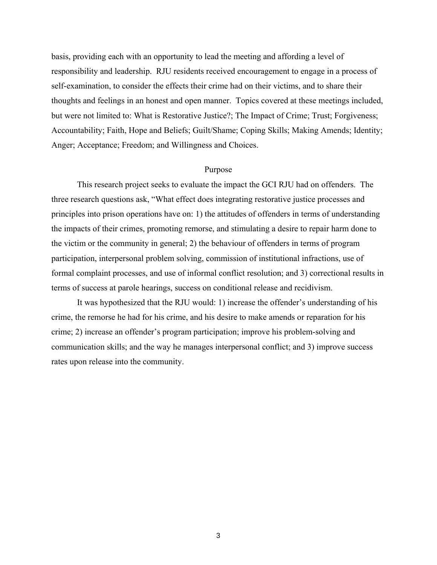basis, providing each with an opportunity to lead the meeting and affording a level of responsibility and leadership. RJU residents received encouragement to engage in a process of self-examination, to consider the effects their crime had on their victims, and to share their thoughts and feelings in an honest and open manner. Topics covered at these meetings included, but were not limited to: What is Restorative Justice?; The Impact of Crime; Trust; Forgiveness; Accountability; Faith, Hope and Beliefs; Guilt/Shame; Coping Skills; Making Amends; Identity; Anger; Acceptance; Freedom; and Willingness and Choices.

#### Purpose

This research project seeks to evaluate the impact the GCI RJU had on offenders. The three research questions ask, "What effect does integrating restorative justice processes and principles into prison operations have on: 1) the attitudes of offenders in terms of understanding the impacts of their crimes, promoting remorse, and stimulating a desire to repair harm done to the victim or the community in general; 2) the behaviour of offenders in terms of program participation, interpersonal problem solving, commission of institutional infractions, use of formal complaint processes, and use of informal conflict resolution; and 3) correctional results in terms of success at parole hearings, success on conditional release and recidivism.

It was hypothesized that the RJU would: 1) increase the offender's understanding of his crime, the remorse he had for his crime, and his desire to make amends or reparation for his crime; 2) increase an offender's program participation; improve his problem-solving and communication skills; and the way he manages interpersonal conflict; and 3) improve success rates upon release into the community.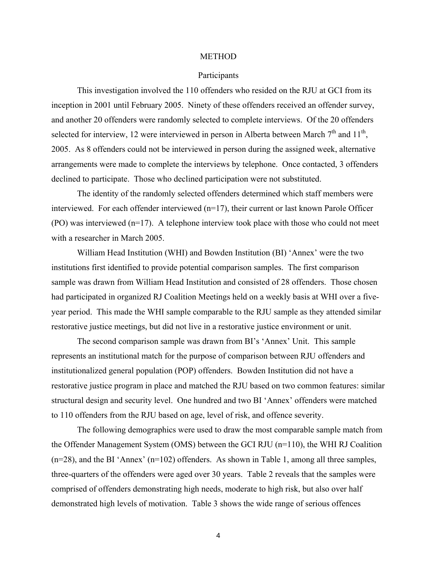#### METHOD

#### Participants

This investigation involved the 110 offenders who resided on the RJU at GCI from its inception in 2001 until February 2005. Ninety of these offenders received an offender survey, and another 20 offenders were randomly selected to complete interviews. Of the 20 offenders selected for interview, 12 were interviewed in person in Alberta between March  $7<sup>th</sup>$  and  $11<sup>th</sup>$ , 2005. As 8 offenders could not be interviewed in person during the assigned week, alternative arrangements were made to complete the interviews by telephone. Once contacted, 3 offenders declined to participate. Those who declined participation were not substituted.

The identity of the randomly selected offenders determined which staff members were interviewed. For each offender interviewed (n=17), their current or last known Parole Officer (PO) was interviewed (n=17). A telephone interview took place with those who could not meet with a researcher in March 2005.

William Head Institution (WHI) and Bowden Institution (BI) 'Annex' were the two institutions first identified to provide potential comparison samples. The first comparison sample was drawn from William Head Institution and consisted of 28 offenders. Those chosen had participated in organized RJ Coalition Meetings held on a weekly basis at WHI over a fiveyear period. This made the WHI sample comparable to the RJU sample as they attended similar restorative justice meetings, but did not live in a restorative justice environment or unit.

The second comparison sample was drawn from BI's 'Annex' Unit. This sample represents an institutional match for the purpose of comparison between RJU offenders and institutionalized general population (POP) offenders. Bowden Institution did not have a restorative justice program in place and matched the RJU based on two common features: similar structural design and security level. One hundred and two BI 'Annex' offenders were matched to 110 offenders from the RJU based on age, level of risk, and offence severity.

The following demographics were used to draw the most comparable sample match from the Offender Management System (OMS) between the GCI RJU (n=110), the WHI RJ Coalition  $(n=28)$ , and the BI 'Annex'  $(n=102)$  offenders. As shown in Table 1, among all three samples, three-quarters of the offenders were aged over 30 years. Table 2 reveals that the samples were comprised of offenders demonstrating high needs, moderate to high risk, but also over half demonstrated high levels of motivation. Table 3 shows the wide range of serious offences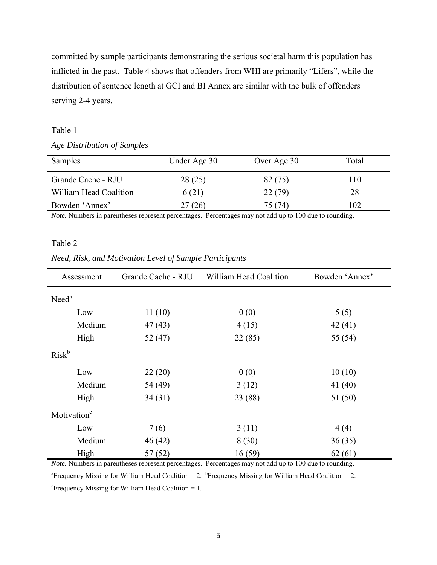committed by sample participants demonstrating the serious societal harm this population has inflicted in the past. Table 4 shows that offenders from WHI are primarily "Lifers", while the distribution of sentence length at GCI and BI Annex are similar with the bulk of offenders serving 2-4 years.

# Table 1

*Age Distribution of Samples* 

| Samples                | Under Age 30 | Over Age 30 | Total |
|------------------------|--------------|-------------|-------|
| Grande Cache - RJU     | 28(25)       | 82 (75)     | 110   |
| William Head Coalition | 6(21)        | 22(79)      | 28    |
| Bowden 'Annex'         | 27 (26)      | 75 (74)     | 102   |

*Note.* Numbers in parentheses represent percentages. Percentages may not add up to 100 due to rounding.

# Table 2

## *Need, Risk, and Motivation Level of Sample Participants*

| Assessment              | Grande Cache - RJU | William Head Coalition | Bowden 'Annex' |
|-------------------------|--------------------|------------------------|----------------|
| Need <sup>a</sup>       |                    |                        |                |
| Low                     | 11(10)             | 0(0)                   | 5(5)           |
| Medium                  | 47(43)             | 4(15)                  | 42(41)         |
| High                    | 52(47)             | 22(85)                 | 55 (54)        |
| $Risk^b$                |                    |                        |                |
| Low                     | 22(20)             | 0(0)                   | 10(10)         |
| Medium                  | 54 (49)            | 3(12)                  | 41(40)         |
| High                    | 34(31)             | 23 (88)                | 51 (50)        |
| Motivation <sup>c</sup> |                    |                        |                |
| Low                     | 7(6)               | 3(11)                  | 4(4)           |
| Medium                  | 46(42)             | 8(30)                  | 36(35)         |
| High                    | 57(52)             | 16(59)                 | 62(61)         |

*Note.* Numbers in parentheses represent percentages. Percentages may not add up to 100 due to rounding.

<sup>a</sup> Frequency Missing for William Head Coalition = 2. <sup>b</sup> Frequency Missing for William Head Coalition = 2.

 $c$ Frequency Missing for William Head Coalition = 1.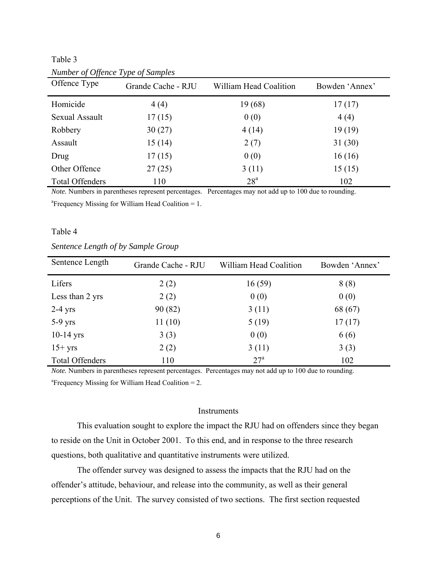Table 3

| Offence Type           | Grande Cache - RJU | William Head Coalition | Bowden 'Annex' |
|------------------------|--------------------|------------------------|----------------|
| Homicide               | 4(4)               | 19 (68)                | 17(17)         |
| Sexual Assault         | 17(15)             | 0(0)                   | 4(4)           |
| Robbery                | 30(27)             | 4(14)                  | 19(19)         |
| Assault                | 15(14)             | 2(7)                   | 31(30)         |
| Drug                   | 17(15)             | 0(0)                   | 16(16)         |
| Other Offence          | 27(25)             | 3(11)                  | 15(15)         |
| <b>Total Offenders</b> | 110                | 28 <sup>a</sup>        | 102            |

*Number of Offence Type of Samples*

*Note.* Numbers in parentheses represent percentages. Percentages may not add up to 100 due to rounding.

<sup>a</sup> Frequency Missing for William Head Coalition = 1.

# Table 4

# *Sentence Length of by Sample Group*

| Sentence Length        | Grande Cache - RJU | William Head Coalition | Bowden 'Annex' |
|------------------------|--------------------|------------------------|----------------|
| Lifers                 | 2(2)               | 16(59)                 | 8(8)           |
| Less than 2 yrs        | 2(2)               | 0(0)                   | 0(0)           |
| $2-4$ yrs              | 90(82)             | 3(11)                  | 68 (67)        |
| $5-9$ yrs              | 11(10)             | 5(19)                  | 17(17)         |
| $10-14$ yrs            | 3(3)               | 0(0)                   | 6(6)           |
| $15+$ yrs              | 2(2)               | 3(11)                  | 3(3)           |
| <b>Total Offenders</b> | 110                | 27 <sup>a</sup>        | 102            |

*Note.* Numbers in parentheses represent percentages. Percentages may not add up to 100 due to rounding. a Frequency Missing for William Head Coalition = 2.

#### **Instruments**

This evaluation sought to explore the impact the RJU had on offenders since they began to reside on the Unit in October 2001. To this end, and in response to the three research questions, both qualitative and quantitative instruments were utilized.

The offender survey was designed to assess the impacts that the RJU had on the offender's attitude, behaviour, and release into the community, as well as their general perceptions of the Unit. The survey consisted of two sections. The first section requested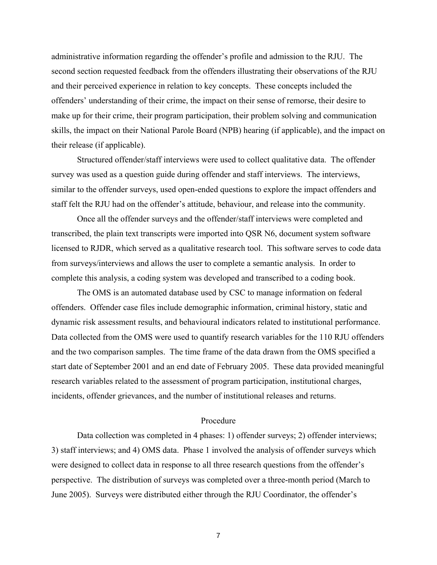administrative information regarding the offender's profile and admission to the RJU. The second section requested feedback from the offenders illustrating their observations of the RJU and their perceived experience in relation to key concepts. These concepts included the offenders' understanding of their crime, the impact on their sense of remorse, their desire to make up for their crime, their program participation, their problem solving and communication skills, the impact on their National Parole Board (NPB) hearing (if applicable), and the impact on their release (if applicable).

Structured offender/staff interviews were used to collect qualitative data. The offender survey was used as a question guide during offender and staff interviews. The interviews, similar to the offender surveys, used open-ended questions to explore the impact offenders and staff felt the RJU had on the offender's attitude, behaviour, and release into the community.

Once all the offender surveys and the offender/staff interviews were completed and transcribed, the plain text transcripts were imported into QSR N6, document system software licensed to RJDR, which served as a qualitative research tool. This software serves to code data from surveys/interviews and allows the user to complete a semantic analysis. In order to complete this analysis, a coding system was developed and transcribed to a coding book.

The OMS is an automated database used by CSC to manage information on federal offenders. Offender case files include demographic information, criminal history, static and dynamic risk assessment results, and behavioural indicators related to institutional performance. Data collected from the OMS were used to quantify research variables for the 110 RJU offenders and the two comparison samples. The time frame of the data drawn from the OMS specified a start date of September 2001 and an end date of February 2005. These data provided meaningful research variables related to the assessment of program participation, institutional charges, incidents, offender grievances, and the number of institutional releases and returns.

#### Procedure

Data collection was completed in 4 phases: 1) offender surveys; 2) offender interviews; 3) staff interviews; and 4) OMS data. Phase 1 involved the analysis of offender surveys which were designed to collect data in response to all three research questions from the offender's perspective. The distribution of surveys was completed over a three-month period (March to June 2005). Surveys were distributed either through the RJU Coordinator, the offender's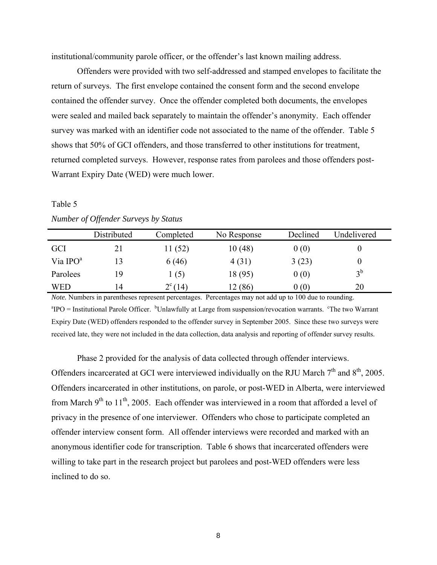institutional/community parole officer, or the offender's last known mailing address.

Offenders were provided with two self-addressed and stamped envelopes to facilitate the return of surveys. The first envelope contained the consent form and the second envelope contained the offender survey. Once the offender completed both documents, the envelopes were sealed and mailed back separately to maintain the offender's anonymity. Each offender survey was marked with an identifier code not associated to the name of the offender. Table 5 shows that 50% of GCI offenders, and those transferred to other institutions for treatment, returned completed surveys. However, response rates from parolees and those offenders post-Warrant Expiry Date (WED) were much lower.

# Table 5 *Number of Offender Surveys by Status*

|            | Distributed | Completed   | No Response | Declined | Undelivered |
|------------|-------------|-------------|-------------|----------|-------------|
| <b>GCI</b> | 21          | 11 (52)     | 10(48)      | 0(0)     | O           |
| Via $IPOa$ |             | 6(46)       | 4(31)       | 3(23)    | $\theta$    |
| Parolees   | 19          | (5)         | 18 (95)     | 0(0)     | $3^b$       |
| <b>WED</b> | 14          | $2^{c}(14)$ | 12 (86)     | 0(0)     | 20          |

*Note.* Numbers in parentheses represent percentages. Percentages may not add up to 100 due to rounding.  ${}^{a}$ IPO = Institutional Parole Officer. <sup>b</sup>Unlawfully at Large from suspension/revocation warrants. <sup>c</sup>The two Warrant Expiry Date (WED) offenders responded to the offender survey in September 2005. Since these two surveys were received late, they were not included in the data collection, data analysis and reporting of offender survey results.

Phase 2 provided for the analysis of data collected through offender interviews. Offenders incarcerated at GCI were interviewed individually on the RJU March  $7<sup>th</sup>$  and  $8<sup>th</sup>$ , 2005. Offenders incarcerated in other institutions, on parole, or post-WED in Alberta, were interviewed from March  $9<sup>th</sup>$  to  $11<sup>th</sup>$ , 2005. Each offender was interviewed in a room that afforded a level of privacy in the presence of one interviewer. Offenders who chose to participate completed an offender interview consent form. All offender interviews were recorded and marked with an anonymous identifier code for transcription. Table 6 shows that incarcerated offenders were willing to take part in the research project but parolees and post-WED offenders were less inclined to do so.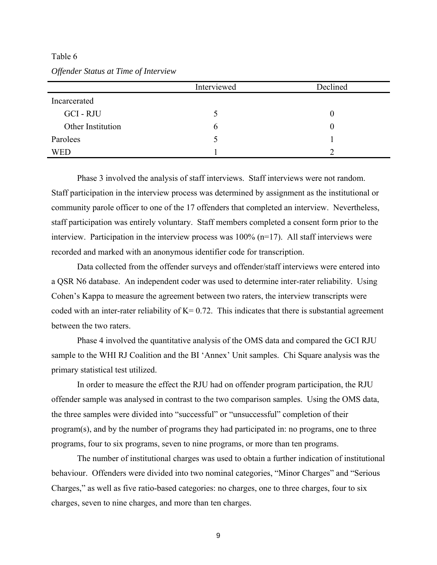Table 6 *Offender Status at Time of Interview*

|                   | Interviewed | Declined |
|-------------------|-------------|----------|
| Incarcerated      |             |          |
| GCI-RJU           |             |          |
| Other Institution | O           |          |
| Parolees          |             |          |
| WED               |             |          |

Phase 3 involved the analysis of staff interviews. Staff interviews were not random. Staff participation in the interview process was determined by assignment as the institutional or community parole officer to one of the 17 offenders that completed an interview. Nevertheless, staff participation was entirely voluntary. Staff members completed a consent form prior to the interview. Participation in the interview process was 100% (n=17). All staff interviews were recorded and marked with an anonymous identifier code for transcription.

Data collected from the offender surveys and offender/staff interviews were entered into a QSR N6 database. An independent coder was used to determine inter-rater reliability. Using Cohen's Kappa to measure the agreement between two raters, the interview transcripts were coded with an inter-rater reliability of  $K= 0.72$ . This indicates that there is substantial agreement between the two raters.

Phase 4 involved the quantitative analysis of the OMS data and compared the GCI RJU sample to the WHI RJ Coalition and the BI 'Annex' Unit samples. Chi Square analysis was the primary statistical test utilized.

In order to measure the effect the RJU had on offender program participation, the RJU offender sample was analysed in contrast to the two comparison samples. Using the OMS data, the three samples were divided into "successful" or "unsuccessful" completion of their program(s), and by the number of programs they had participated in: no programs, one to three programs, four to six programs, seven to nine programs, or more than ten programs.

The number of institutional charges was used to obtain a further indication of institutional behaviour. Offenders were divided into two nominal categories, "Minor Charges" and "Serious Charges," as well as five ratio-based categories: no charges, one to three charges, four to six charges, seven to nine charges, and more than ten charges.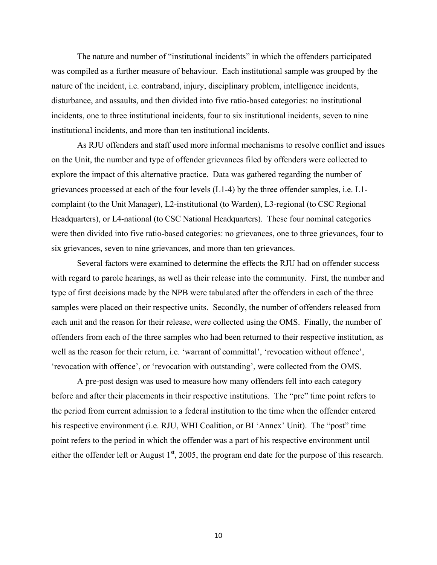The nature and number of "institutional incidents" in which the offenders participated was compiled as a further measure of behaviour. Each institutional sample was grouped by the nature of the incident, i.e. contraband, injury, disciplinary problem, intelligence incidents, disturbance, and assaults, and then divided into five ratio-based categories: no institutional incidents, one to three institutional incidents, four to six institutional incidents, seven to nine institutional incidents, and more than ten institutional incidents.

As RJU offenders and staff used more informal mechanisms to resolve conflict and issues on the Unit, the number and type of offender grievances filed by offenders were collected to explore the impact of this alternative practice. Data was gathered regarding the number of grievances processed at each of the four levels (L1-4) by the three offender samples, i.e. L1 complaint (to the Unit Manager), L2-institutional (to Warden), L3-regional (to CSC Regional Headquarters), or L4-national (to CSC National Headquarters). These four nominal categories were then divided into five ratio-based categories: no grievances, one to three grievances, four to six grievances, seven to nine grievances, and more than ten grievances.

Several factors were examined to determine the effects the RJU had on offender success with regard to parole hearings, as well as their release into the community. First, the number and type of first decisions made by the NPB were tabulated after the offenders in each of the three samples were placed on their respective units. Secondly, the number of offenders released from each unit and the reason for their release, were collected using the OMS. Finally, the number of offenders from each of the three samples who had been returned to their respective institution, as well as the reason for their return, i.e. 'warrant of committal', 'revocation without offence', 'revocation with offence', or 'revocation with outstanding', were collected from the OMS.

A pre-post design was used to measure how many offenders fell into each category before and after their placements in their respective institutions. The "pre" time point refers to the period from current admission to a federal institution to the time when the offender entered his respective environment (i.e. RJU, WHI Coalition, or BI 'Annex' Unit). The "post" time point refers to the period in which the offender was a part of his respective environment until either the offender left or August  $1<sup>st</sup>$ , 2005, the program end date for the purpose of this research.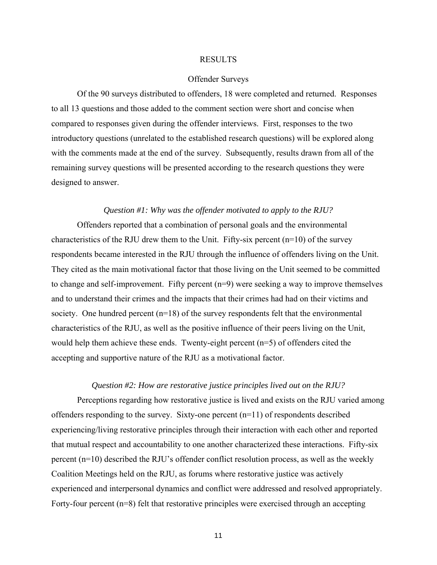#### RESULTS

#### Offender Surveys

Of the 90 surveys distributed to offenders, 18 were completed and returned. Responses to all 13 questions and those added to the comment section were short and concise when compared to responses given during the offender interviews. First, responses to the two introductory questions (unrelated to the established research questions) will be explored along with the comments made at the end of the survey. Subsequently, results drawn from all of the remaining survey questions will be presented according to the research questions they were designed to answer.

# *Question #1: Why was the offender motivated to apply to the RJU?*

Offenders reported that a combination of personal goals and the environmental characteristics of the RJU drew them to the Unit. Fifty-six percent  $(n=10)$  of the survey respondents became interested in the RJU through the influence of offenders living on the Unit. They cited as the main motivational factor that those living on the Unit seemed to be committed to change and self-improvement. Fifty percent (n=9) were seeking a way to improve themselves and to understand their crimes and the impacts that their crimes had had on their victims and society. One hundred percent (n=18) of the survey respondents felt that the environmental characteristics of the RJU, as well as the positive influence of their peers living on the Unit, would help them achieve these ends. Twenty-eight percent (n=5) of offenders cited the accepting and supportive nature of the RJU as a motivational factor.

# *Question #2: How are restorative justice principles lived out on the RJU?*

Perceptions regarding how restorative justice is lived and exists on the RJU varied among offenders responding to the survey. Sixty-one percent (n=11) of respondents described experiencing/living restorative principles through their interaction with each other and reported that mutual respect and accountability to one another characterized these interactions. Fifty-six percent (n=10) described the RJU's offender conflict resolution process, as well as the weekly Coalition Meetings held on the RJU, as forums where restorative justice was actively experienced and interpersonal dynamics and conflict were addressed and resolved appropriately. Forty-four percent (n=8) felt that restorative principles were exercised through an accepting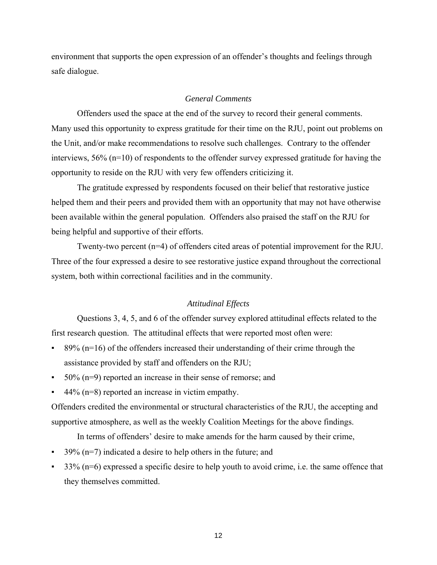environment that supports the open expression of an offender's thoughts and feelings through safe dialogue.

# *General Comments*

Offenders used the space at the end of the survey to record their general comments. Many used this opportunity to express gratitude for their time on the RJU, point out problems on the Unit, and/or make recommendations to resolve such challenges. Contrary to the offender interviews, 56% (n=10) of respondents to the offender survey expressed gratitude for having the opportunity to reside on the RJU with very few offenders criticizing it.

The gratitude expressed by respondents focused on their belief that restorative justice helped them and their peers and provided them with an opportunity that may not have otherwise been available within the general population. Offenders also praised the staff on the RJU for being helpful and supportive of their efforts.

Twenty-two percent (n=4) of offenders cited areas of potential improvement for the RJU. Three of the four expressed a desire to see restorative justice expand throughout the correctional system, both within correctional facilities and in the community.

# *Attitudinal Effects*

Questions 3, 4, 5, and 6 of the offender survey explored attitudinal effects related to the first research question. The attitudinal effects that were reported most often were:

- $\approx$  89% (n=16) of the offenders increased their understanding of their crime through the assistance provided by staff and offenders on the RJU;
- 50% (n=9) reported an increase in their sense of remorse; and
- $\approx$  44% (n=8) reported an increase in victim empathy.

Offenders credited the environmental or structural characteristics of the RJU, the accepting and supportive atmosphere, as well as the weekly Coalition Meetings for the above findings.

In terms of offenders' desire to make amends for the harm caused by their crime,

- $39\%$  (n=7) indicated a desire to help others in the future; and
- $33\%$  (n=6) expressed a specific desire to help youth to avoid crime, i.e. the same offence that they themselves committed.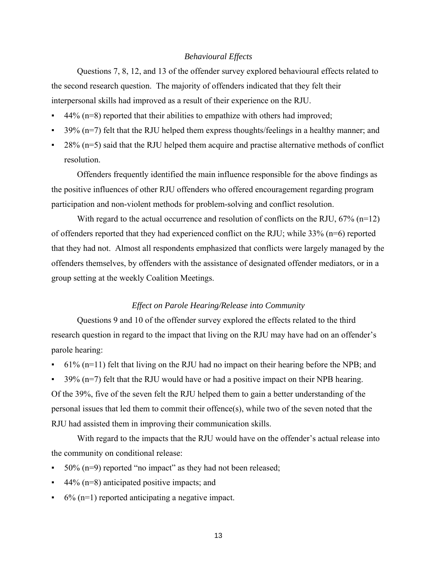# *Behavioural Effects*

Questions 7, 8, 12, and 13 of the offender survey explored behavioural effects related to the second research question. The majority of offenders indicated that they felt their interpersonal skills had improved as a result of their experience on the RJU.

- $44\%$  (n=8) reported that their abilities to empathize with others had improved;
- $39\%$  (n=7) felt that the RJU helped them express thoughts/feelings in a healthy manner; and
- $28\%$  (n=5) said that the RJU helped them acquire and practise alternative methods of conflict resolution.

Offenders frequently identified the main influence responsible for the above findings as the positive influences of other RJU offenders who offered encouragement regarding program participation and non-violent methods for problem-solving and conflict resolution.

With regard to the actual occurrence and resolution of conflicts on the RJU,  $67\%$  (n=12) of offenders reported that they had experienced conflict on the RJU; while 33% (n=6) reported that they had not. Almost all respondents emphasized that conflicts were largely managed by the offenders themselves, by offenders with the assistance of designated offender mediators, or in a group setting at the weekly Coalition Meetings.

# *Effect on Parole Hearing/Release into Community*

Questions 9 and 10 of the offender survey explored the effects related to the third research question in regard to the impact that living on the RJU may have had on an offender's parole hearing:

- $61\%$  (n=11) felt that living on the RJU had no impact on their hearing before the NPB; and
- $39\%$  (n=7) felt that the RJU would have or had a positive impact on their NPB hearing. Of the 39%, five of the seven felt the RJU helped them to gain a better understanding of the personal issues that led them to commit their offence(s), while two of the seven noted that the RJU had assisted them in improving their communication skills.

With regard to the impacts that the RJU would have on the offender's actual release into the community on conditional release:

- $50\%$  (n=9) reported "no impact" as they had not been released;
- $44\%$  (n=8) anticipated positive impacts; and
- $6\%$  (n=1) reported anticipating a negative impact.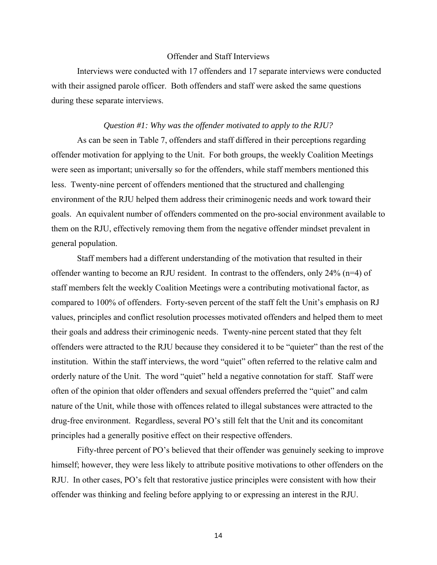### Offender and Staff Interviews

Interviews were conducted with 17 offenders and 17 separate interviews were conducted with their assigned parole officer. Both offenders and staff were asked the same questions during these separate interviews.

# *Question #1: Why was the offender motivated to apply to the RJU?*

As can be seen in Table 7, offenders and staff differed in their perceptions regarding offender motivation for applying to the Unit. For both groups, the weekly Coalition Meetings were seen as important; universally so for the offenders, while staff members mentioned this less. Twenty-nine percent of offenders mentioned that the structured and challenging environment of the RJU helped them address their criminogenic needs and work toward their goals. An equivalent number of offenders commented on the pro-social environment available to them on the RJU, effectively removing them from the negative offender mindset prevalent in general population.

Staff members had a different understanding of the motivation that resulted in their offender wanting to become an RJU resident. In contrast to the offenders, only 24% (n=4) of staff members felt the weekly Coalition Meetings were a contributing motivational factor, as compared to 100% of offenders. Forty-seven percent of the staff felt the Unit's emphasis on RJ values, principles and conflict resolution processes motivated offenders and helped them to meet their goals and address their criminogenic needs. Twenty-nine percent stated that they felt offenders were attracted to the RJU because they considered it to be "quieter" than the rest of the institution. Within the staff interviews, the word "quiet" often referred to the relative calm and orderly nature of the Unit. The word "quiet" held a negative connotation for staff. Staff were often of the opinion that older offenders and sexual offenders preferred the "quiet" and calm nature of the Unit, while those with offences related to illegal substances were attracted to the drug-free environment. Regardless, several PO's still felt that the Unit and its concomitant principles had a generally positive effect on their respective offenders.

Fifty-three percent of PO's believed that their offender was genuinely seeking to improve himself; however, they were less likely to attribute positive motivations to other offenders on the RJU. In other cases, PO's felt that restorative justice principles were consistent with how their offender was thinking and feeling before applying to or expressing an interest in the RJU.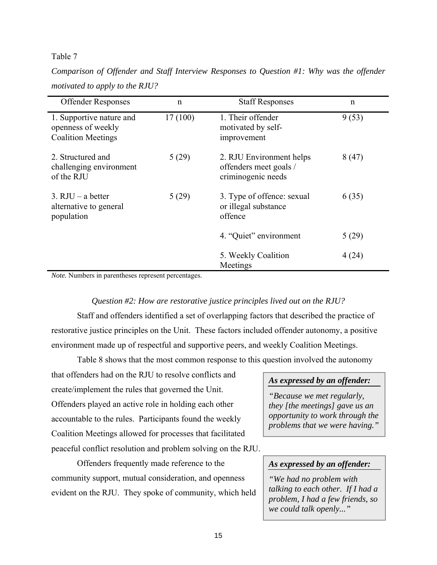# Table 7

*Comparison of Offender and Staff Interview Responses to Question #1: Why was the offender motivated to apply to the RJU?* 

| <b>Offender Responses</b>                                                   | $\mathbf n$ | <b>Staff Responses</b>                                                   | $\mathbf n$ |
|-----------------------------------------------------------------------------|-------------|--------------------------------------------------------------------------|-------------|
| 1. Supportive nature and<br>openness of weekly<br><b>Coalition Meetings</b> | 17(100)     | 1. Their offender<br>motivated by self-<br>improvement                   | 9(53)       |
| 2. Structured and<br>challenging environment<br>of the RJU                  | 5(29)       | 2. RJU Environment helps<br>offenders meet goals /<br>criminogenic needs | 8(47)       |
| 3. RJU $-$ a better<br>alternative to general<br>population                 | 5(29)       | 3. Type of offence: sexual<br>or illegal substance<br>offence            | 6(35)       |
|                                                                             |             | 4. "Quiet" environment                                                   | 5(29)       |
|                                                                             |             | 5. Weekly Coalition<br>Meetings                                          | 4(24)       |

*Note.* Numbers in parentheses represent percentages.

# *Question #2: How are restorative justice principles lived out on the RJU?*

Staff and offenders identified a set of overlapping factors that described the practice of restorative justice principles on the Unit. These factors included offender autonomy, a positive environment made up of respectful and supportive peers, and weekly Coalition Meetings.

Table 8 shows that the most common response to this question involved the autonomy

that offenders had on the RJU to resolve conflicts and create/implement the rules that governed the Unit. Offenders played an active role in holding each other accountable to the rules. Participants found the weekly Coalition Meetings allowed for processes that facilitated peaceful conflict resolution and problem solving on the RJU.

Offenders frequently made reference to the community support, mutual consideration, and openness evident on the RJU. They spoke of community, which held

# *As expressed by an offender:*

*"Because we met regularly, they [the meetings] gave us an opportunity to work through the problems that we were having."*

# *As expressed by an offender:*

*"We had no problem with talking to each other. If I had a problem, I had a few friends, so we could talk openly..."*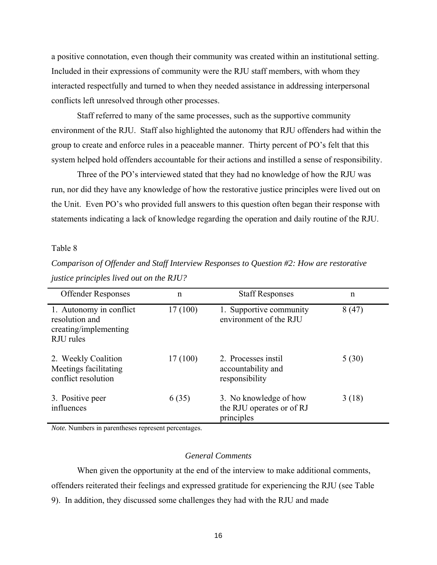a positive connotation, even though their community was created within an institutional setting. Included in their expressions of community were the RJU staff members, with whom they interacted respectfully and turned to when they needed assistance in addressing interpersonal conflicts left unresolved through other processes.

Staff referred to many of the same processes, such as the supportive community environment of the RJU. Staff also highlighted the autonomy that RJU offenders had within the group to create and enforce rules in a peaceable manner. Thirty percent of PO's felt that this system helped hold offenders accountable for their actions and instilled a sense of responsibility.

Three of the PO's interviewed stated that they had no knowledge of how the RJU was run, nor did they have any knowledge of how the restorative justice principles were lived out on the Unit. Even PO's who provided full answers to this question often began their response with statements indicating a lack of knowledge regarding the operation and daily routine of the RJU.

### Table 8

| <b>Offender Responses</b>                                                       | $\mathbf n$ | <b>Staff Responses</b>                                            | $\mathbf n$ |
|---------------------------------------------------------------------------------|-------------|-------------------------------------------------------------------|-------------|
| 1. Autonomy in conflict<br>resolution and<br>creating/implementing<br>RJU rules | 17(100)     | 1. Supportive community<br>environment of the RJU                 | 8(47)       |
| 2. Weekly Coalition<br>Meetings facilitating<br>conflict resolution             | 17(100)     | 2. Processes instil<br>accountability and<br>responsibility       | 5(30)       |
| 3. Positive peer<br>influences                                                  | 6(35)       | 3. No knowledge of how<br>the RJU operates or of RJ<br>principles | 3(18)       |

*Comparison of Offender and Staff Interview Responses to Question #2: How are restorative justice principles lived out on the RJU?* 

*Note.* Numbers in parentheses represent percentages.

# *General Comments*

When given the opportunity at the end of the interview to make additional comments, offenders reiterated their feelings and expressed gratitude for experiencing the RJU (see Table 9). In addition, they discussed some challenges they had with the RJU and made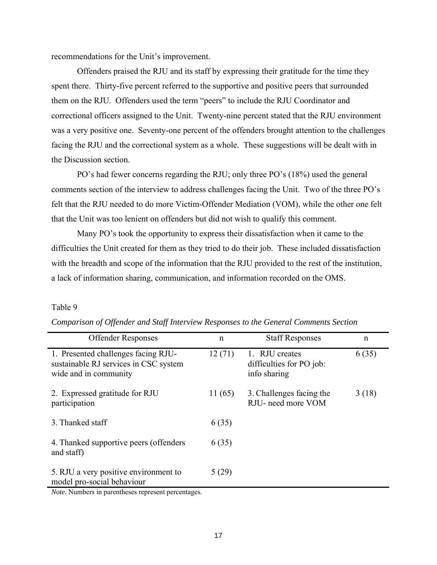recommendations for the Unit's improvement.

Offenders praised the RJU and its staff by expressing their gratitude for the time they spent there. Thirty-five percent referred to the supportive and positive peers that surrounded them on the RJU. Offenders used the term "peers" to include the RJU Coordinator and correctional officers assigned to the Unit. Twenty-nine percent stated that the RJU environment was a very positive one. Seventy-one percent of the offenders brought attention to the challenges facing the RJU and the correctional system as a whole. These suggestions will be dealt with in the Discussion section.

PO's had fewer concerns regarding the RJU; only three PO's (18%) used the general comments section of the interview to address challenges facing the Unit. Two of the three PO's felt that the RJU needed to do more Victim-Offender Mediation (VOM), while the other one felt that the Unit was too lenient on offenders but did not wish to qualify this comment.

Many PO's took the opportunity to express their dissatisfaction when it came to the difficulties the Unit created for them as they tried to do their job. These included dissatisfaction with the breadth and scope of the information that the RJU provided to the rest of the institution, a lack of information sharing, communication, and information recorded on the OMS.

# Table 9

| <b>Offender Responses</b>                                                                                                                                                                                                                                                                                        | $\mathbf n$ | <b>Staff Responses</b>                                     | $\mathbf n$ |
|------------------------------------------------------------------------------------------------------------------------------------------------------------------------------------------------------------------------------------------------------------------------------------------------------------------|-------------|------------------------------------------------------------|-------------|
| 1. Presented challenges facing RJU-<br>sustainable RJ services in CSC system<br>wide and in community                                                                                                                                                                                                            | 12(71)      | 1. RJU creates<br>difficulties for PO job:<br>info sharing | 6(35)       |
| 2. Expressed gratitude for RJU<br>participation                                                                                                                                                                                                                                                                  | 11(65)      | 3. Challenges facing the<br>RJU- need more VOM             | 3(18)       |
| 3. Thanked staff                                                                                                                                                                                                                                                                                                 | 6(35)       |                                                            |             |
| 4. Thanked supportive peers (offenders)<br>and staff)                                                                                                                                                                                                                                                            | 6(35)       |                                                            |             |
| 5. RJU a very positive environment to<br>model pro-social behaviour<br>$\mathbf{M}$ , $\mathbf{M}$ and $\mathbf{L}$ are the constant of the second constant of the second second second second second second second second second second second second second second second second second second second second s | 5(29)       |                                                            |             |

*Comparison of Offender and Staff Interview Responses to the General Comments Section* 

*Note.* Numbers in parentheses represent percentages.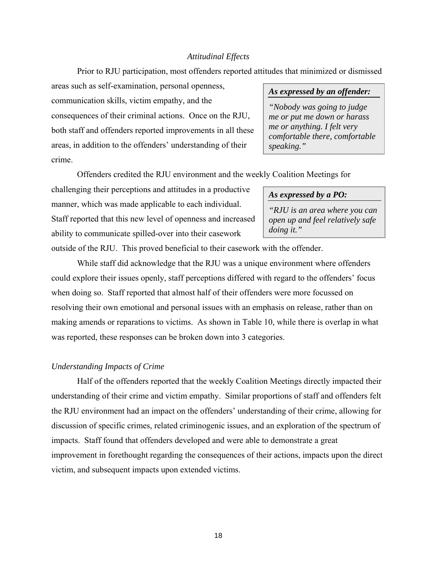# *Attitudinal Effects*

Prior to RJU participation, most offenders reported attitudes that minimized or dismissed

areas such as self-examination, personal openness, communication skills, victim empathy, and the consequences of their criminal actions. Once on the RJU, both staff and offenders reported improvements in all these areas, in addition to the offenders' understanding of their crime.

# *As expressed by an offender:*

*"Nobody was going to judge me or put me down or harass me or anything. I felt very comfortable there, comfortable speaking."*

Offenders credited the RJU environment and the weekly Coalition Meetings for

challenging their perceptions and attitudes in a productive manner, which was made applicable to each individual. Staff reported that this new level of openness and increased ability to communicate spilled-over into their casework

#### *As expressed by a PO:*

*"RJU is an area where you can open up and feel relatively safe doing it."*

outside of the RJU. This proved beneficial to their casework with the offender.

While staff did acknowledge that the RJU was a unique environment where offenders could explore their issues openly, staff perceptions differed with regard to the offenders' focus when doing so. Staff reported that almost half of their offenders were more focussed on resolving their own emotional and personal issues with an emphasis on release, rather than on making amends or reparations to victims. As shown in Table 10, while there is overlap in what was reported, these responses can be broken down into 3 categories.

# *Understanding Impacts of Crime*

Half of the offenders reported that the weekly Coalition Meetings directly impacted their understanding of their crime and victim empathy. Similar proportions of staff and offenders felt the RJU environment had an impact on the offenders' understanding of their crime, allowing for discussion of specific crimes, related criminogenic issues, and an exploration of the spectrum of impacts. Staff found that offenders developed and were able to demonstrate a great improvement in forethought regarding the consequences of their actions, impacts upon the direct victim, and subsequent impacts upon extended victims.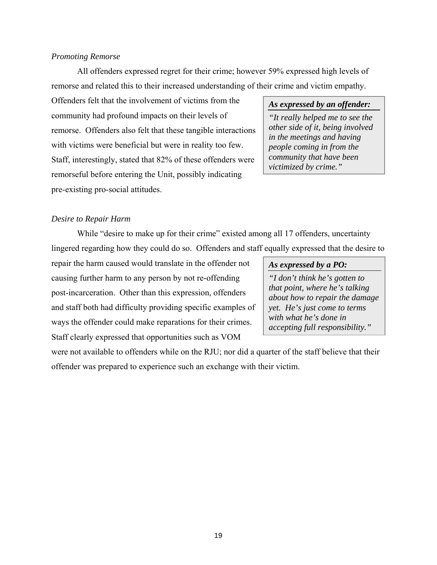# *Promoting Remorse*

All offenders expressed regret for their crime; however 59% expressed high levels of remorse and related this to their increased understanding of their crime and victim empathy.

Offenders felt that the involvement of victims from the community had profound impacts on their levels of remorse. Offenders also felt that these tangible interactions with victims were beneficial but were in reality too few. Staff, interestingly, stated that 82% of these offenders were remorseful before entering the Unit, possibly indicating pre-existing pro-social attitudes.

### *As expressed by an offender:*

*"It really helped me to see the other side of it, being involved in the meetings and having people coming in from the community that have been victimized by crime."*

#### *Desire to Repair Harm*

While "desire to make up for their crime" existed among all 17 offenders, uncertainty lingered regarding how they could do so. Offenders and staff equally expressed that the desire to

repair the harm caused would translate in the offender not causing further harm to any person by not re-offending post-incarceration. Other than this expression, offenders and staff both had difficulty providing specific examples of ways the offender could make reparations for their crimes. Staff clearly expressed that opportunities such as VOM

#### *As expressed by a PO:*

*"I don't think he's gotten to that point, where he's talking about how to repair the damage yet. He's just come to terms with what he's done in accepting full responsibility."*

were not available to offenders while on the RJU; nor did a quarter of the staff believe that their offender was prepared to experience such an exchange with their victim.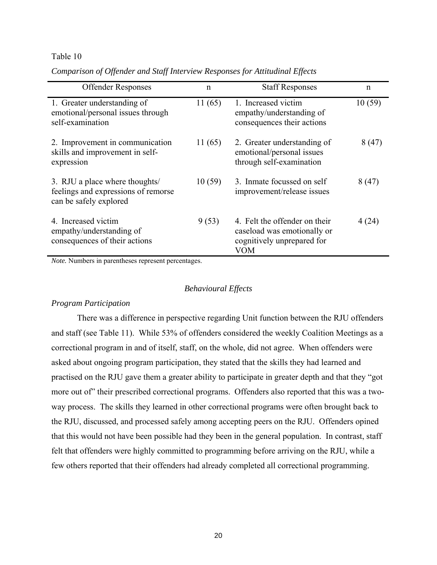## Table 10

| <b>Offender Responses</b>                                                                       | n      | <b>Staff Responses</b>                                                                                   | $\mathbf n$ |
|-------------------------------------------------------------------------------------------------|--------|----------------------------------------------------------------------------------------------------------|-------------|
| 1. Greater understanding of<br>emotional/personal issues through<br>self-examination            | 11(65) | 1. Increased victim<br>empathy/understanding of<br>consequences their actions                            | 10(59)      |
| 2. Improvement in communication<br>skills and improvement in self-<br>expression                | 11(65) | 2. Greater understanding of<br>emotional/personal issues<br>through self-examination                     | 8(47)       |
| 3. RJU a place where thoughts/<br>feelings and expressions of remorse<br>can be safely explored | 10(59) | 3. Inmate focussed on self<br>improvement/release issues                                                 | 8(47)       |
| 4. Increased victim<br>empathy/understanding of<br>consequences of their actions                | 9(53)  | 4. Felt the offender on their<br>caseload was emotionally or<br>cognitively unprepared for<br><b>VOM</b> | 4(24)       |

*Comparison of Offender and Staff Interview Responses for Attitudinal Effects* 

*Note.* Numbers in parentheses represent percentages.

# *Behavioural Effects*

# *Program Participation*

There was a difference in perspective regarding Unit function between the RJU offenders and staff (see Table 11). While 53% of offenders considered the weekly Coalition Meetings as a correctional program in and of itself, staff, on the whole, did not agree. When offenders were asked about ongoing program participation, they stated that the skills they had learned and practised on the RJU gave them a greater ability to participate in greater depth and that they "got more out of" their prescribed correctional programs. Offenders also reported that this was a twoway process. The skills they learned in other correctional programs were often brought back to the RJU, discussed, and processed safely among accepting peers on the RJU. Offenders opined that this would not have been possible had they been in the general population. In contrast, staff felt that offenders were highly committed to programming before arriving on the RJU, while a few others reported that their offenders had already completed all correctional programming.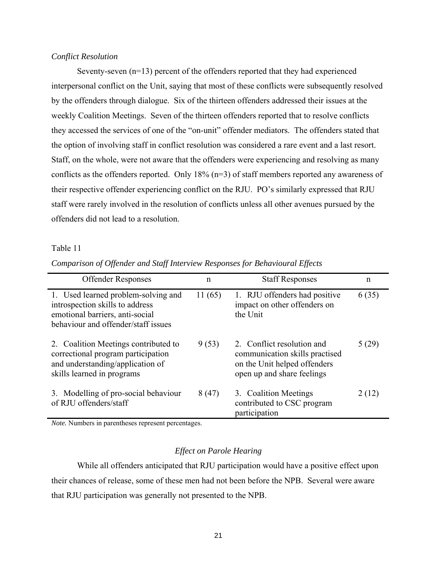# *Conflict Resolution*

Seventy-seven (n=13) percent of the offenders reported that they had experienced interpersonal conflict on the Unit, saying that most of these conflicts were subsequently resolved by the offenders through dialogue. Six of the thirteen offenders addressed their issues at the weekly Coalition Meetings. Seven of the thirteen offenders reported that to resolve conflicts they accessed the services of one of the "on-unit" offender mediators. The offenders stated that the option of involving staff in conflict resolution was considered a rare event and a last resort. Staff, on the whole, were not aware that the offenders were experiencing and resolving as many conflicts as the offenders reported. Only 18% (n=3) of staff members reported any awareness of their respective offender experiencing conflict on the RJU. PO's similarly expressed that RJU staff were rarely involved in the resolution of conflicts unless all other avenues pursued by the offenders did not lead to a resolution.

# Table 11

| Comparison of Offender and Staff Interview Responses for Behavioural Effects |  |
|------------------------------------------------------------------------------|--|
|------------------------------------------------------------------------------|--|

| <b>Offender Responses</b>                                                                                                                        | n      | <b>Staff Responses</b>                                                                                                     | $\mathsf{n}$ |
|--------------------------------------------------------------------------------------------------------------------------------------------------|--------|----------------------------------------------------------------------------------------------------------------------------|--------------|
| 1. Used learned problem-solving and<br>introspection skills to address<br>emotional barriers, anti-social<br>behaviour and offender/staff issues | 11(65) | 1. RJU offenders had positive<br>impact on other offenders on<br>the Unit                                                  | 6(35)        |
| 2. Coalition Meetings contributed to<br>correctional program participation<br>and understanding/application of<br>skills learned in programs     | 9(53)  | 2. Conflict resolution and<br>communication skills practised<br>on the Unit helped offenders<br>open up and share feelings | 5(29)        |
| 3. Modelling of pro-social behaviour<br>of RJU offenders/staff                                                                                   | 8(47)  | 3. Coalition Meetings<br>contributed to CSC program<br>participation                                                       | 2(12)        |

*Note.* Numbers in parentheses represent percentages.

### *Effect on Parole Hearing*

While all offenders anticipated that RJU participation would have a positive effect upon their chances of release, some of these men had not been before the NPB. Several were aware that RJU participation was generally not presented to the NPB.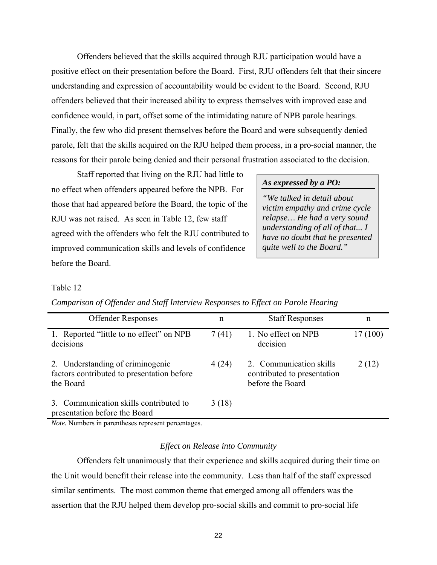Offenders believed that the skills acquired through RJU participation would have a positive effect on their presentation before the Board. First, RJU offenders felt that their sincere understanding and expression of accountability would be evident to the Board. Second, RJU offenders believed that their increased ability to express themselves with improved ease and confidence would, in part, offset some of the intimidating nature of NPB parole hearings. Finally, the few who did present themselves before the Board and were subsequently denied parole, felt that the skills acquired on the RJU helped them process, in a pro-social manner, the reasons for their parole being denied and their personal frustration associated to the decision.

Staff reported that living on the RJU had little to no effect when offenders appeared before the NPB. For those that had appeared before the Board, the topic of the RJU was not raised. As seen in Table 12, few staff agreed with the offenders who felt the RJU contributed to improved communication skills and levels of confidence before the Board.

# *As expressed by a PO:*

*"We talked in detail about victim empathy and crime cycle relapse… He had a very sound understanding of all of that... I have no doubt that he presented quite well to the Board."*

#### Table 12

| <b>Offender Responses</b>                                                                   | n     | <b>Staff Responses</b>                                                     | n        |
|---------------------------------------------------------------------------------------------|-------|----------------------------------------------------------------------------|----------|
| 1. Reported "little to no effect" on NPB<br>decisions                                       | 7(41) | 1. No effect on NPB<br>decision                                            | 17 (100) |
| 2. Understanding of criminogenic<br>factors contributed to presentation before<br>the Board | 4(24) | 2. Communication skills<br>contributed to presentation<br>before the Board | 2(12)    |
| 3. Communication skills contributed to<br>presentation before the Board                     | 3(18) |                                                                            |          |

# *Comparison of Offender and Staff Interview Responses to Effect on Parole Hearing*

*Note.* Numbers in parentheses represent percentages.

#### *Effect on Release into Community*

Offenders felt unanimously that their experience and skills acquired during their time on the Unit would benefit their release into the community. Less than half of the staff expressed similar sentiments. The most common theme that emerged among all offenders was the assertion that the RJU helped them develop pro-social skills and commit to pro-social life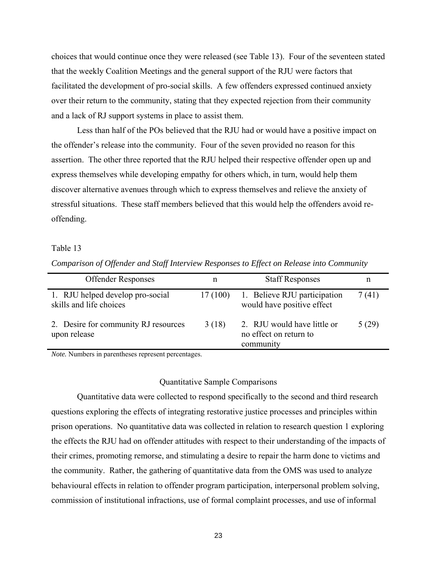choices that would continue once they were released (see Table 13). Four of the seventeen stated that the weekly Coalition Meetings and the general support of the RJU were factors that facilitated the development of pro-social skills. A few offenders expressed continued anxiety over their return to the community, stating that they expected rejection from their community and a lack of RJ support systems in place to assist them.

Less than half of the POs believed that the RJU had or would have a positive impact on the offender's release into the community. Four of the seven provided no reason for this assertion. The other three reported that the RJU helped their respective offender open up and express themselves while developing empathy for others which, in turn, would help them discover alternative avenues through which to express themselves and relieve the anxiety of stressful situations. These staff members believed that this would help the offenders avoid reoffending.

# Table 13

|  |  |  | Comparison of Offender and Staff Interview Responses to Effect on Release into Community |
|--|--|--|------------------------------------------------------------------------------------------|
|  |  |  |                                                                                          |

| <b>Offender Responses</b>                                   | n       | <b>Staff Responses</b>                                             | n     |
|-------------------------------------------------------------|---------|--------------------------------------------------------------------|-------|
| 1. RJU helped develop pro-social<br>skills and life choices | 17(100) | 1. Believe RJU participation<br>would have positive effect         | 7(41) |
| 2. Desire for community RJ resources<br>upon release        | 3(18)   | 2. RJU would have little or<br>no effect on return to<br>community | 5(29) |

*Note.* Numbers in parentheses represent percentages.

#### Quantitative Sample Comparisons

Quantitative data were collected to respond specifically to the second and third research questions exploring the effects of integrating restorative justice processes and principles within prison operations. No quantitative data was collected in relation to research question 1 exploring the effects the RJU had on offender attitudes with respect to their understanding of the impacts of their crimes, promoting remorse, and stimulating a desire to repair the harm done to victims and the community. Rather, the gathering of quantitative data from the OMS was used to analyze behavioural effects in relation to offender program participation, interpersonal problem solving, commission of institutional infractions, use of formal complaint processes, and use of informal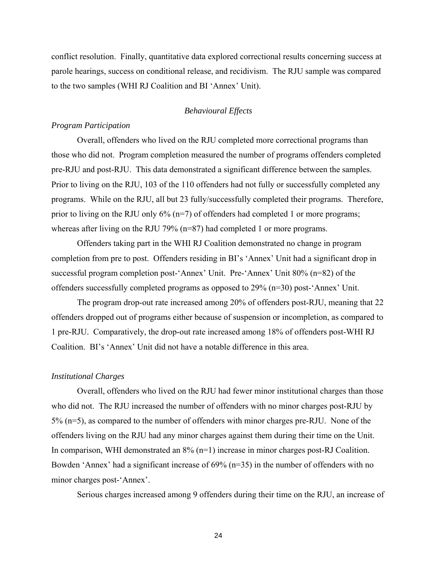conflict resolution. Finally, quantitative data explored correctional results concerning success at parole hearings, success on conditional release, and recidivism. The RJU sample was compared to the two samples (WHI RJ Coalition and BI 'Annex' Unit).

# *Behavioural Effects*

# *Program Participation*

Overall, offenders who lived on the RJU completed more correctional programs than those who did not. Program completion measured the number of programs offenders completed pre-RJU and post-RJU. This data demonstrated a significant difference between the samples. Prior to living on the RJU, 103 of the 110 offenders had not fully or successfully completed any programs. While on the RJU, all but 23 fully/successfully completed their programs. Therefore, prior to living on the RJU only  $6\%$  (n=7) of offenders had completed 1 or more programs; whereas after living on the RJU 79% (n=87) had completed 1 or more programs.

Offenders taking part in the WHI RJ Coalition demonstrated no change in program completion from pre to post. Offenders residing in BI's 'Annex' Unit had a significant drop in successful program completion post-'Annex' Unit. Pre-'Annex' Unit 80% (n=82) of the offenders successfully completed programs as opposed to 29% (n=30) post-'Annex' Unit.

The program drop-out rate increased among 20% of offenders post-RJU, meaning that 22 offenders dropped out of programs either because of suspension or incompletion, as compared to 1 pre-RJU. Comparatively, the drop-out rate increased among 18% of offenders post-WHI RJ Coalition. BI's 'Annex' Unit did not have a notable difference in this area.

#### *Institutional Charges*

Overall, offenders who lived on the RJU had fewer minor institutional charges than those who did not. The RJU increased the number of offenders with no minor charges post-RJU by 5% (n=5), as compared to the number of offenders with minor charges pre-RJU. None of the offenders living on the RJU had any minor charges against them during their time on the Unit. In comparison, WHI demonstrated an 8% (n=1) increase in minor charges post-RJ Coalition. Bowden 'Annex' had a significant increase of 69% (n=35) in the number of offenders with no minor charges post-'Annex'.

Serious charges increased among 9 offenders during their time on the RJU, an increase of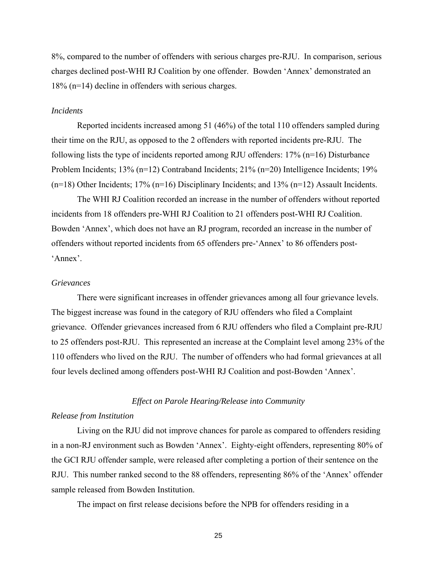8%, compared to the number of offenders with serious charges pre-RJU. In comparison, serious charges declined post-WHI RJ Coalition by one offender. Bowden 'Annex' demonstrated an 18% (n=14) decline in offenders with serious charges.

# *Incidents*

Reported incidents increased among 51 (46%) of the total 110 offenders sampled during their time on the RJU, as opposed to the 2 offenders with reported incidents pre-RJU. The following lists the type of incidents reported among RJU offenders:  $17\%$  (n=16) Disturbance Problem Incidents; 13% (n=12) Contraband Incidents; 21% (n=20) Intelligence Incidents; 19% (n=18) Other Incidents; 17% (n=16) Disciplinary Incidents; and 13% (n=12) Assault Incidents.

The WHI RJ Coalition recorded an increase in the number of offenders without reported incidents from 18 offenders pre-WHI RJ Coalition to 21 offenders post-WHI RJ Coalition. Bowden 'Annex', which does not have an RJ program, recorded an increase in the number of offenders without reported incidents from 65 offenders pre-'Annex' to 86 offenders post- 'Annex'.

### *Grievances*

There were significant increases in offender grievances among all four grievance levels. The biggest increase was found in the category of RJU offenders who filed a Complaint grievance. Offender grievances increased from 6 RJU offenders who filed a Complaint pre-RJU to 25 offenders post-RJU. This represented an increase at the Complaint level among 23% of the 110 offenders who lived on the RJU. The number of offenders who had formal grievances at all four levels declined among offenders post-WHI RJ Coalition and post-Bowden 'Annex'.

#### *Effect on Parole Hearing/Release into Community*

# *Release from Institution*

Living on the RJU did not improve chances for parole as compared to offenders residing in a non-RJ environment such as Bowden 'Annex'. Eighty-eight offenders, representing 80% of the GCI RJU offender sample, were released after completing a portion of their sentence on the RJU. This number ranked second to the 88 offenders, representing 86% of the 'Annex' offender sample released from Bowden Institution.

The impact on first release decisions before the NPB for offenders residing in a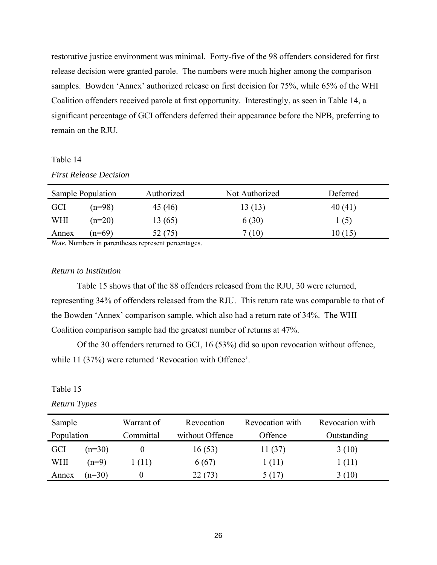restorative justice environment was minimal. Forty-five of the 98 offenders considered for first release decision were granted parole. The numbers were much higher among the comparison samples. Bowden 'Annex' authorized release on first decision for 75%, while 65% of the WHI Coalition offenders received parole at first opportunity. Interestingly, as seen in Table 14, a significant percentage of GCI offenders deferred their appearance before the NPB, preferring to remain on the RJU.

### Table 14

| <b>First Release Decision</b> |  |
|-------------------------------|--|
|-------------------------------|--|

|            | Sample Population | Authorized                                                                                                                                                                                                                            | Not Authorized | Deferred |
|------------|-------------------|---------------------------------------------------------------------------------------------------------------------------------------------------------------------------------------------------------------------------------------|----------------|----------|
| <b>GCI</b> | $(n=98)$          | 45 (46)                                                                                                                                                                                                                               | 13 (13)        | 40 (41)  |
| WHI        | $(n=20)$          | 13 (65)                                                                                                                                                                                                                               | 6(30)          | 1(5)     |
| Annex      | $(n=69)$          | 52(75)                                                                                                                                                                                                                                | 7 (10)         | 10(15)   |
|            |                   | $\mathbf{M}$ at $\mathbf{M}$ is the set of the set of the set of the set of the set of the set of the set of the set of the set of the set of the set of the set of the set of the set of the set of the set of the set of the set of |                |          |

*Note.* Numbers in parentheses represent percentages.

## *Return to Institution*

Table 15 shows that of the 88 offenders released from the RJU, 30 were returned, representing 34% of offenders released from the RJU. This return rate was comparable to that of the Bowden 'Annex' comparison sample, which also had a return rate of 34%. The WHI Coalition comparison sample had the greatest number of returns at 47%.

Of the 30 offenders returned to GCI, 16 (53%) did so upon revocation without offence, while 11 (37%) were returned 'Revocation with Offence'.

# Table 15

*Return Types* 

| Sample     |          | Warrant of | Revocation      | Revocation with | Revocation with |
|------------|----------|------------|-----------------|-----------------|-----------------|
| Population |          | Committal  | without Offence | Offence         | Outstanding     |
| <b>GCI</b> | $(n=30)$ |            | 16(53)          | 11(37)          | 3(10)           |
| WHI        | $(n=9)$  | 1 (11)     | 6(67)           | 1(11)           | 1 (11)          |
| Annex      | $(n=30)$ |            | 22 (73)         | 5(17)           | 3(10)           |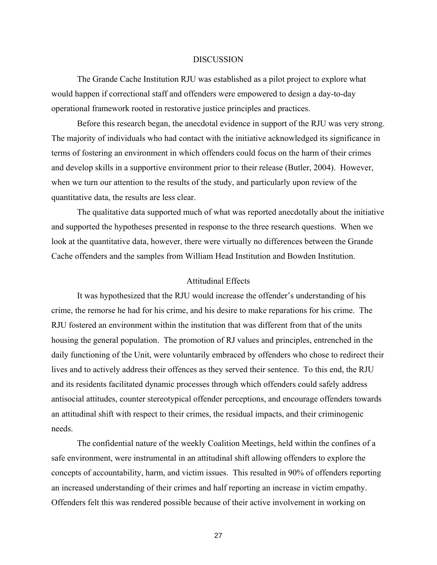#### DISCUSSION

The Grande Cache Institution RJU was established as a pilot project to explore what would happen if correctional staff and offenders were empowered to design a day-to-day operational framework rooted in restorative justice principles and practices.

Before this research began, the anecdotal evidence in support of the RJU was very strong. The majority of individuals who had contact with the initiative acknowledged its significance in terms of fostering an environment in which offenders could focus on the harm of their crimes and develop skills in a supportive environment prior to their release (Butler, 2004). However, when we turn our attention to the results of the study, and particularly upon review of the quantitative data, the results are less clear.

The qualitative data supported much of what was reported anecdotally about the initiative and supported the hypotheses presented in response to the three research questions. When we look at the quantitative data, however, there were virtually no differences between the Grande Cache offenders and the samples from William Head Institution and Bowden Institution.

#### Attitudinal Effects

It was hypothesized that the RJU would increase the offender's understanding of his crime, the remorse he had for his crime, and his desire to make reparations for his crime. The RJU fostered an environment within the institution that was different from that of the units housing the general population. The promotion of RJ values and principles, entrenched in the daily functioning of the Unit, were voluntarily embraced by offenders who chose to redirect their lives and to actively address their offences as they served their sentence. To this end, the RJU and its residents facilitated dynamic processes through which offenders could safely address antisocial attitudes, counter stereotypical offender perceptions, and encourage offenders towards an attitudinal shift with respect to their crimes, the residual impacts, and their criminogenic needs.

The confidential nature of the weekly Coalition Meetings, held within the confines of a safe environment, were instrumental in an attitudinal shift allowing offenders to explore the concepts of accountability, harm, and victim issues. This resulted in 90% of offenders reporting an increased understanding of their crimes and half reporting an increase in victim empathy. Offenders felt this was rendered possible because of their active involvement in working on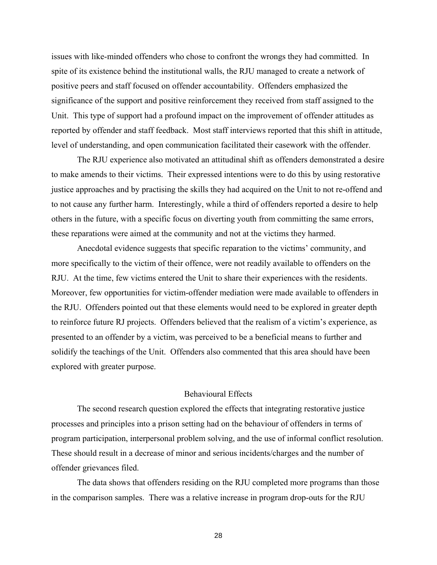issues with like-minded offenders who chose to confront the wrongs they had committed. In spite of its existence behind the institutional walls, the RJU managed to create a network of positive peers and staff focused on offender accountability. Offenders emphasized the significance of the support and positive reinforcement they received from staff assigned to the Unit. This type of support had a profound impact on the improvement of offender attitudes as reported by offender and staff feedback. Most staff interviews reported that this shift in attitude, level of understanding, and open communication facilitated their casework with the offender.

The RJU experience also motivated an attitudinal shift as offenders demonstrated a desire to make amends to their victims. Their expressed intentions were to do this by using restorative justice approaches and by practising the skills they had acquired on the Unit to not re-offend and to not cause any further harm. Interestingly, while a third of offenders reported a desire to help others in the future, with a specific focus on diverting youth from committing the same errors, these reparations were aimed at the community and not at the victims they harmed.

Anecdotal evidence suggests that specific reparation to the victims' community, and more specifically to the victim of their offence, were not readily available to offenders on the RJU. At the time, few victims entered the Unit to share their experiences with the residents. Moreover, few opportunities for victim-offender mediation were made available to offenders in the RJU. Offenders pointed out that these elements would need to be explored in greater depth to reinforce future RJ projects. Offenders believed that the realism of a victim's experience, as presented to an offender by a victim, was perceived to be a beneficial means to further and solidify the teachings of the Unit. Offenders also commented that this area should have been explored with greater purpose.

# Behavioural Effects

The second research question explored the effects that integrating restorative justice processes and principles into a prison setting had on the behaviour of offenders in terms of program participation, interpersonal problem solving, and the use of informal conflict resolution. These should result in a decrease of minor and serious incidents/charges and the number of offender grievances filed.

The data shows that offenders residing on the RJU completed more programs than those in the comparison samples. There was a relative increase in program drop-outs for the RJU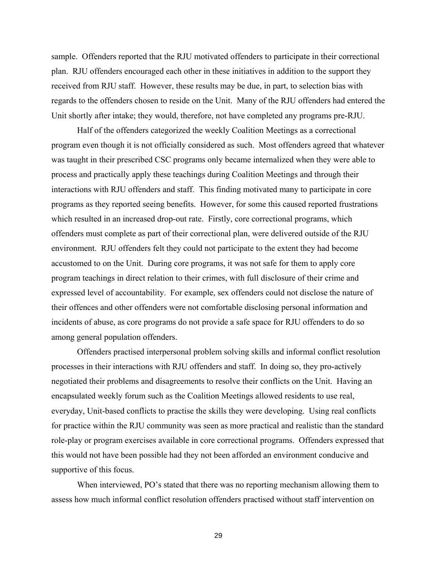sample. Offenders reported that the RJU motivated offenders to participate in their correctional plan. RJU offenders encouraged each other in these initiatives in addition to the support they received from RJU staff. However, these results may be due, in part, to selection bias with regards to the offenders chosen to reside on the Unit. Many of the RJU offenders had entered the Unit shortly after intake; they would, therefore, not have completed any programs pre-RJU.

Half of the offenders categorized the weekly Coalition Meetings as a correctional program even though it is not officially considered as such. Most offenders agreed that whatever was taught in their prescribed CSC programs only became internalized when they were able to process and practically apply these teachings during Coalition Meetings and through their interactions with RJU offenders and staff. This finding motivated many to participate in core programs as they reported seeing benefits. However, for some this caused reported frustrations which resulted in an increased drop-out rate. Firstly, core correctional programs, which offenders must complete as part of their correctional plan, were delivered outside of the RJU environment. RJU offenders felt they could not participate to the extent they had become accustomed to on the Unit. During core programs, it was not safe for them to apply core program teachings in direct relation to their crimes, with full disclosure of their crime and expressed level of accountability. For example, sex offenders could not disclose the nature of their offences and other offenders were not comfortable disclosing personal information and incidents of abuse, as core programs do not provide a safe space for RJU offenders to do so among general population offenders.

Offenders practised interpersonal problem solving skills and informal conflict resolution processes in their interactions with RJU offenders and staff. In doing so, they pro-actively negotiated their problems and disagreements to resolve their conflicts on the Unit. Having an encapsulated weekly forum such as the Coalition Meetings allowed residents to use real, everyday, Unit-based conflicts to practise the skills they were developing. Using real conflicts for practice within the RJU community was seen as more practical and realistic than the standard role-play or program exercises available in core correctional programs. Offenders expressed that this would not have been possible had they not been afforded an environment conducive and supportive of this focus.

When interviewed, PO's stated that there was no reporting mechanism allowing them to assess how much informal conflict resolution offenders practised without staff intervention on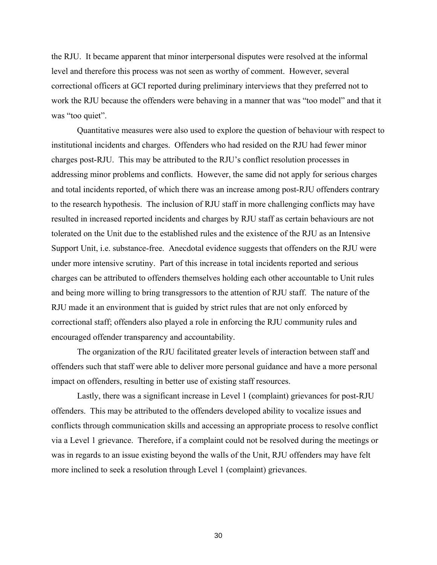the RJU. It became apparent that minor interpersonal disputes were resolved at the informal level and therefore this process was not seen as worthy of comment. However, several correctional officers at GCI reported during preliminary interviews that they preferred not to work the RJU because the offenders were behaving in a manner that was "too model" and that it was "too quiet".

Quantitative measures were also used to explore the question of behaviour with respect to institutional incidents and charges. Offenders who had resided on the RJU had fewer minor charges post-RJU. This may be attributed to the RJU's conflict resolution processes in addressing minor problems and conflicts. However, the same did not apply for serious charges and total incidents reported, of which there was an increase among post-RJU offenders contrary to the research hypothesis. The inclusion of RJU staff in more challenging conflicts may have resulted in increased reported incidents and charges by RJU staff as certain behaviours are not tolerated on the Unit due to the established rules and the existence of the RJU as an Intensive Support Unit, i.e. substance-free. Anecdotal evidence suggests that offenders on the RJU were under more intensive scrutiny. Part of this increase in total incidents reported and serious charges can be attributed to offenders themselves holding each other accountable to Unit rules and being more willing to bring transgressors to the attention of RJU staff. The nature of the RJU made it an environment that is guided by strict rules that are not only enforced by correctional staff; offenders also played a role in enforcing the RJU community rules and encouraged offender transparency and accountability.

The organization of the RJU facilitated greater levels of interaction between staff and offenders such that staff were able to deliver more personal guidance and have a more personal impact on offenders, resulting in better use of existing staff resources.

Lastly, there was a significant increase in Level 1 (complaint) grievances for post-RJU offenders. This may be attributed to the offenders developed ability to vocalize issues and conflicts through communication skills and accessing an appropriate process to resolve conflict via a Level 1 grievance. Therefore, if a complaint could not be resolved during the meetings or was in regards to an issue existing beyond the walls of the Unit, RJU offenders may have felt more inclined to seek a resolution through Level 1 (complaint) grievances.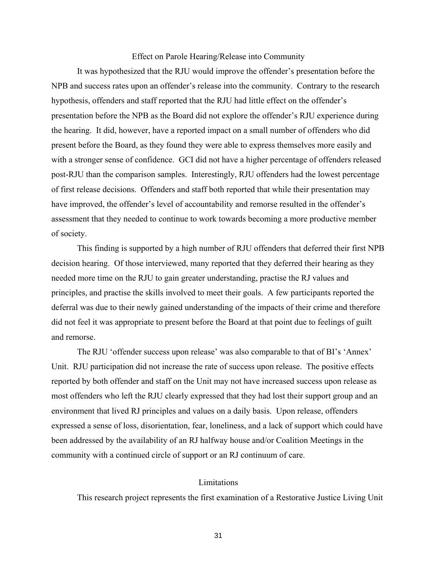# Effect on Parole Hearing/Release into Community

It was hypothesized that the RJU would improve the offender's presentation before the NPB and success rates upon an offender's release into the community. Contrary to the research hypothesis, offenders and staff reported that the RJU had little effect on the offender's presentation before the NPB as the Board did not explore the offender's RJU experience during the hearing. It did, however, have a reported impact on a small number of offenders who did present before the Board, as they found they were able to express themselves more easily and with a stronger sense of confidence. GCI did not have a higher percentage of offenders released post-RJU than the comparison samples. Interestingly, RJU offenders had the lowest percentage of first release decisions. Offenders and staff both reported that while their presentation may have improved, the offender's level of accountability and remorse resulted in the offender's assessment that they needed to continue to work towards becoming a more productive member of society.

This finding is supported by a high number of RJU offenders that deferred their first NPB decision hearing. Of those interviewed, many reported that they deferred their hearing as they needed more time on the RJU to gain greater understanding, practise the RJ values and principles, and practise the skills involved to meet their goals. A few participants reported the deferral was due to their newly gained understanding of the impacts of their crime and therefore did not feel it was appropriate to present before the Board at that point due to feelings of guilt and remorse.

The RJU 'offender success upon release' was also comparable to that of BI's 'Annex' Unit. RJU participation did not increase the rate of success upon release. The positive effects reported by both offender and staff on the Unit may not have increased success upon release as most offenders who left the RJU clearly expressed that they had lost their support group and an environment that lived RJ principles and values on a daily basis. Upon release, offenders expressed a sense of loss, disorientation, fear, loneliness, and a lack of support which could have been addressed by the availability of an RJ halfway house and/or Coalition Meetings in the community with a continued circle of support or an RJ continuum of care.

# **Limitations**

This research project represents the first examination of a Restorative Justice Living Unit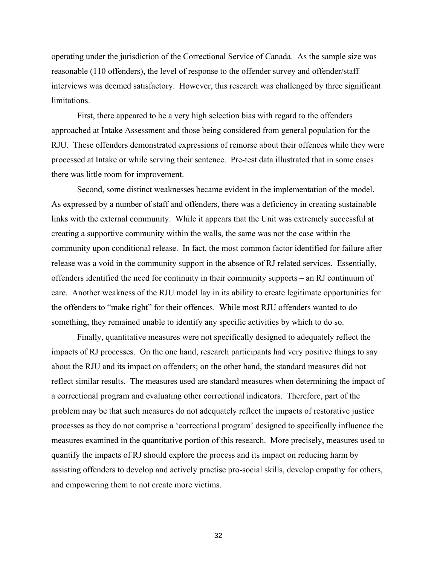operating under the jurisdiction of the Correctional Service of Canada. As the sample size was reasonable (110 offenders), the level of response to the offender survey and offender/staff interviews was deemed satisfactory. However, this research was challenged by three significant limitations.

First, there appeared to be a very high selection bias with regard to the offenders approached at Intake Assessment and those being considered from general population for the RJU. These offenders demonstrated expressions of remorse about their offences while they were processed at Intake or while serving their sentence. Pre-test data illustrated that in some cases there was little room for improvement.

Second, some distinct weaknesses became evident in the implementation of the model. As expressed by a number of staff and offenders, there was a deficiency in creating sustainable links with the external community. While it appears that the Unit was extremely successful at creating a supportive community within the walls, the same was not the case within the community upon conditional release. In fact, the most common factor identified for failure after release was a void in the community support in the absence of RJ related services. Essentially, offenders identified the need for continuity in their community supports – an RJ continuum of care. Another weakness of the RJU model lay in its ability to create legitimate opportunities for the offenders to "make right" for their offences. While most RJU offenders wanted to do something, they remained unable to identify any specific activities by which to do so.

Finally, quantitative measures were not specifically designed to adequately reflect the impacts of RJ processes. On the one hand, research participants had very positive things to say about the RJU and its impact on offenders; on the other hand, the standard measures did not reflect similar results. The measures used are standard measures when determining the impact of a correctional program and evaluating other correctional indicators. Therefore, part of the problem may be that such measures do not adequately reflect the impacts of restorative justice processes as they do not comprise a 'correctional program' designed to specifically influence the measures examined in the quantitative portion of this research. More precisely, measures used to quantify the impacts of RJ should explore the process and its impact on reducing harm by assisting offenders to develop and actively practise pro-social skills, develop empathy for others, and empowering them to not create more victims.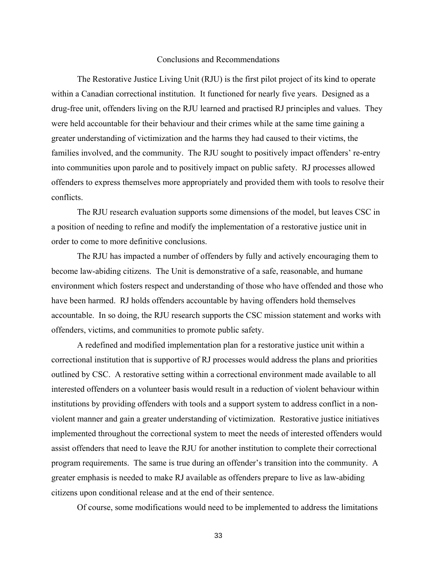#### Conclusions and Recommendations

The Restorative Justice Living Unit (RJU) is the first pilot project of its kind to operate within a Canadian correctional institution. It functioned for nearly five years. Designed as a drug-free unit, offenders living on the RJU learned and practised RJ principles and values. They were held accountable for their behaviour and their crimes while at the same time gaining a greater understanding of victimization and the harms they had caused to their victims, the families involved, and the community. The RJU sought to positively impact offenders' re-entry into communities upon parole and to positively impact on public safety. RJ processes allowed offenders to express themselves more appropriately and provided them with tools to resolve their conflicts.

The RJU research evaluation supports some dimensions of the model, but leaves CSC in a position of needing to refine and modify the implementation of a restorative justice unit in order to come to more definitive conclusions.

The RJU has impacted a number of offenders by fully and actively encouraging them to become law-abiding citizens. The Unit is demonstrative of a safe, reasonable, and humane environment which fosters respect and understanding of those who have offended and those who have been harmed. RJ holds offenders accountable by having offenders hold themselves accountable. In so doing, the RJU research supports the CSC mission statement and works with offenders, victims, and communities to promote public safety.

A redefined and modified implementation plan for a restorative justice unit within a correctional institution that is supportive of RJ processes would address the plans and priorities outlined by CSC. A restorative setting within a correctional environment made available to all interested offenders on a volunteer basis would result in a reduction of violent behaviour within institutions by providing offenders with tools and a support system to address conflict in a nonviolent manner and gain a greater understanding of victimization. Restorative justice initiatives implemented throughout the correctional system to meet the needs of interested offenders would assist offenders that need to leave the RJU for another institution to complete their correctional program requirements. The same is true during an offender's transition into the community. A greater emphasis is needed to make RJ available as offenders prepare to live as law-abiding citizens upon conditional release and at the end of their sentence.

Of course, some modifications would need to be implemented to address the limitations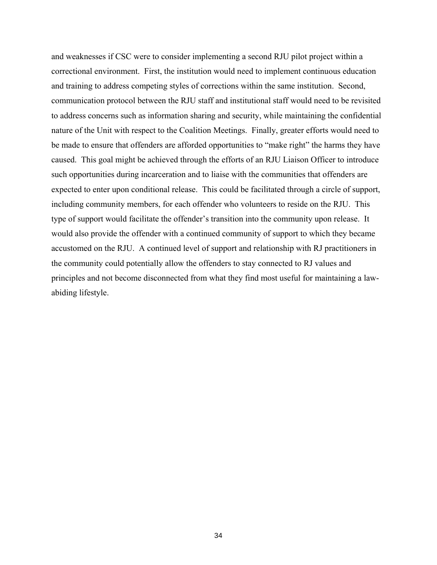and weaknesses if CSC were to consider implementing a second RJU pilot project within a correctional environment. First, the institution would need to implement continuous education and training to address competing styles of corrections within the same institution. Second, communication protocol between the RJU staff and institutional staff would need to be revisited to address concerns such as information sharing and security, while maintaining the confidential nature of the Unit with respect to the Coalition Meetings. Finally, greater efforts would need to be made to ensure that offenders are afforded opportunities to "make right" the harms they have caused. This goal might be achieved through the efforts of an RJU Liaison Officer to introduce such opportunities during incarceration and to liaise with the communities that offenders are expected to enter upon conditional release. This could be facilitated through a circle of support, including community members, for each offender who volunteers to reside on the RJU. This type of support would facilitate the offender's transition into the community upon release. It would also provide the offender with a continued community of support to which they became accustomed on the RJU. A continued level of support and relationship with RJ practitioners in the community could potentially allow the offenders to stay connected to RJ values and principles and not become disconnected from what they find most useful for maintaining a lawabiding lifestyle.